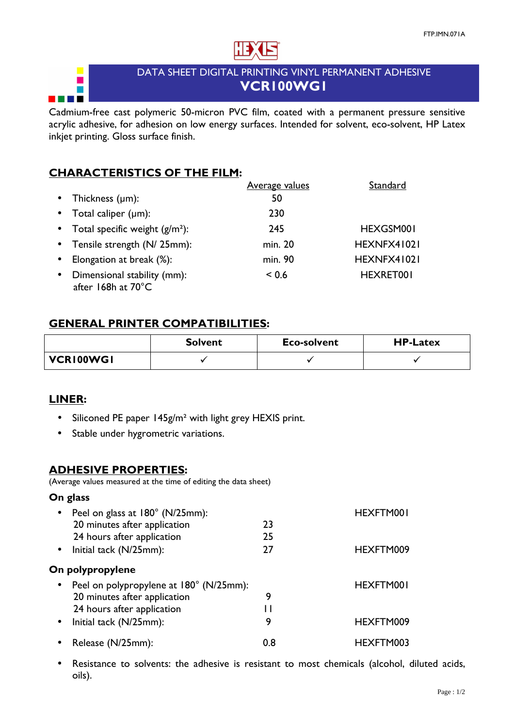

## DATA SHEET DIGITAL PRINTING VINYL PERMANENT ADHESIVE VCR100WG1

Cadmium-free cast polymeric 50-micron PVC film, coated with a permanent pressure sensitive acrylic adhesive, for adhesion on low energy surfaces. Intended for solvent, eco-solvent, HP Latex inkjet printing. Gloss surface finish.

# CHARACTERISTICS OF THE FILM:

|           |                                                   | <b>Average values</b> | Standard    |
|-----------|---------------------------------------------------|-----------------------|-------------|
| $\bullet$ | Thickness $(\mu m)$ :                             | 50                    |             |
| $\bullet$ | Total caliper $(\mu m)$ :                         | 230                   |             |
|           | • Total specific weight $(g/m^2)$ :               | 245                   | HEXGSM001   |
|           | • Tensile strength (N/ 25mm):                     | min. 20               | HEXNFX41021 |
| $\bullet$ | Elongation at break (%):                          | min. 90               | HEXNFX41021 |
| $\bullet$ | Dimensional stability (mm):<br>after 168h at 70°C | ${}_{0.6}$            | HEXRET001   |

## GENERAL PRINTER COMPATIBILITIES:

|                  | <b>Solvent</b> | Eco-solvent | <b>HP-Latex</b> |
|------------------|----------------|-------------|-----------------|
| <b>VCRI00WGI</b> |                |             |                 |

#### LINER:

 $\overline{\phantom{a}}$  $\blacksquare$ 

i **z** 

- Siliconed PE paper 145g/m<sup>2</sup> with light grey HEXIS print.
- Stable under hygrometric variations.

#### ADHESIVE PROPERTIES:

(Average values measured at the time of editing the data sheet)

#### On glass

| $\bullet$ | Peel on glass at 180° (N/25mm):         |     | HEXFTM001 |
|-----------|-----------------------------------------|-----|-----------|
|           | 20 minutes after application            | 23  |           |
|           | 24 hours after application              | 25  |           |
| $\bullet$ | Initial tack (N/25mm):                  | 27  | HEXFTM009 |
|           | On polypropylene                        |     |           |
| $\bullet$ | Peel on polypropylene at 180° (N/25mm): |     | HEXFTM001 |
|           | 20 minutes after application            | 9   |           |
|           | 24 hours after application              |     |           |
| $\bullet$ | Initial tack (N/25mm):                  | 9   | HEXFTM009 |
|           | Release (N/25mm):                       | 0.8 | HEXFTM003 |

• Resistance to solvents: the adhesive is resistant to most chemicals (alcohol, diluted acids, oils).